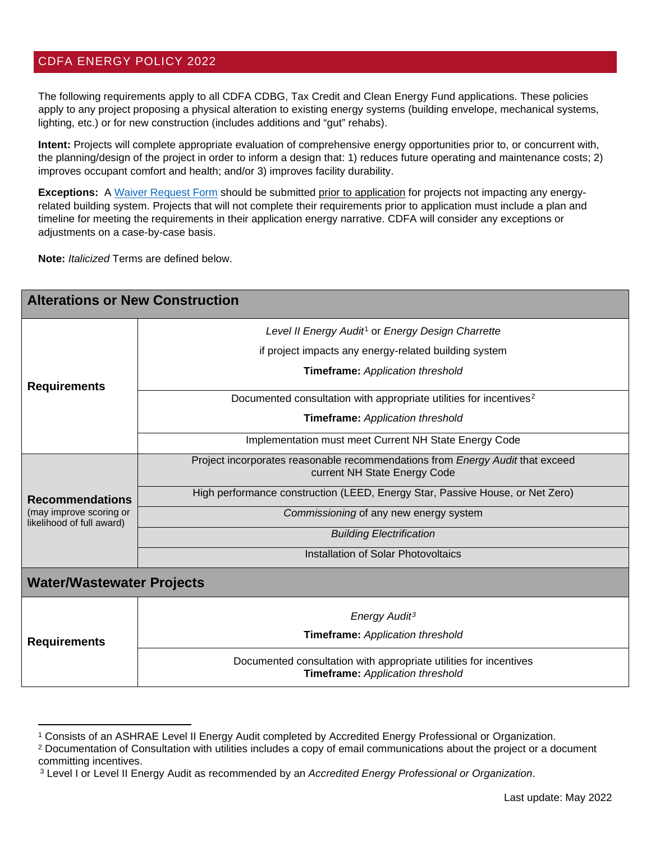## CDFA ENERGY POLICY 2022

The following requirements apply to all CDFA CDBG, Tax Credit and Clean Energy Fund applications. These policies apply to any project proposing a physical alteration to existing energy systems (building envelope, mechanical systems, lighting, etc.) or for new construction (includes additions and "gut" rehabs).

**Intent:** Projects will complete appropriate evaluation of comprehensive energy opportunities prior to, or concurrent with, the planning/design of the project in order to inform a design that: 1) reduces future operating and maintenance costs; 2) improves occupant comfort and health; and/or 3) improves facility durability.

**Exceptions:** A Waiver [Request Form](https://resources.nhcdfa.org/wp-content/uploads/2021/02/Energy-Policy-Waiver-Request-May-2022-FINAL.pdf) should be submitted prior to application for projects not impacting any energyrelated building system. Projects that will not complete their requirements prior to application must include a plan and timeline for meeting the requirements in their application energy narrative. CDFA will consider any exceptions or adjustments on a case-by-case basis.

**Note:** *Italicized* Terms are defined below.

| <b>Alterations or New Construction</b>                                         |                                                                                                               |
|--------------------------------------------------------------------------------|---------------------------------------------------------------------------------------------------------------|
| <b>Requirements</b>                                                            | Level II Energy Audit <sup>1</sup> or Energy Design Charrette                                                 |
|                                                                                | if project impacts any energy-related building system                                                         |
|                                                                                | <b>Timeframe:</b> Application threshold                                                                       |
|                                                                                | Documented consultation with appropriate utilities for incentives <sup>2</sup>                                |
|                                                                                | <b>Timeframe:</b> Application threshold                                                                       |
|                                                                                | Implementation must meet Current NH State Energy Code                                                         |
| <b>Recommendations</b><br>(may improve scoring or<br>likelihood of full award) | Project incorporates reasonable recommendations from Energy Audit that exceed<br>current NH State Energy Code |
|                                                                                | High performance construction (LEED, Energy Star, Passive House, or Net Zero)                                 |
|                                                                                | Commissioning of any new energy system                                                                        |
|                                                                                | <b>Building Electrification</b>                                                                               |
|                                                                                | Installation of Solar Photovoltaics                                                                           |
| <b>Water/Wastewater Projects</b>                                               |                                                                                                               |
| <b>Requirements</b>                                                            | Energy Audit <sup>3</sup>                                                                                     |
|                                                                                | Timeframe: Application threshold                                                                              |
|                                                                                | Documented consultation with appropriate utilities for incentives<br>Timeframe: Application threshold         |

<span id="page-0-0"></span><sup>1</sup> Consists of an ASHRAE Level II Energy Audit completed by Accredited Energy Professional or Organization.

<span id="page-0-1"></span><sup>&</sup>lt;sup>2</sup> Documentation of Consultation with utilities includes a copy of email communications about the project or a document committing incentives.

<span id="page-0-2"></span><sup>3</sup> Level I or Level II Energy Audit as recommended by an *Accredited Energy Professional or Organization*.